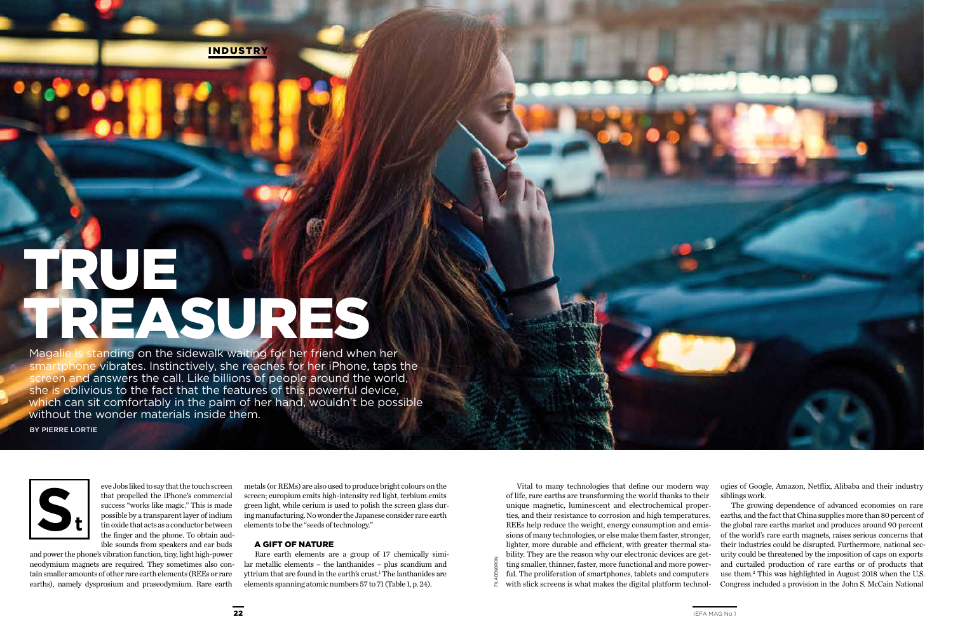INDUSTRY

Magalie is standing on the sidewalk waiting for her friend when her smartphone vibrates. Instinctively, she reaches for her iPhone, taps the screen and answers the call. Like billions of people around the world, she is oblivious to the fact that the features of this powerful device, which can sit comfortably in the palm of her hand, wouldn't be possible without the wonder materials inside them.

# TRUE TREASURES

BY PIERRE LORTIE

Vital to many technologies that define our modern way of life, rare earths are transforming the world thanks to their unique magnetic, luminescent and electrochemical properties, and their resistance to corrosion and high temperatures. REEs help reduce the weight, energy consumption and emissions of many technologies, or else make them faster, stronger, lighter, more durable and efficient, with greater thermal stability. They are the reason why our electronic devices are getting smaller, thinner, faster, more functional and more powerful. The proliferation of smartphones, tablets and computers with slick screens is what makes the digital platform technologies of Google, Amazon, Netflix, Alibaba and their industry siblings work.

The growing dependence of advanced economies on rare earths, and the fact that China supplies more than 80 percent of the global rare earths market and produces around 90 percent of the world's rare earth magnets, raises serious concerns that their industries could be disrupted. Furthermore, national security could be threatened by the imposition of caps on exports and curtailed production of rare earths or of products that use them.2 This was highlighted in August 2018 when the U.S. Congress included a provision in the John S. McCain National



eve Jobs liked to say that the touch screen that propelled the iPhone's commercial success "works like magic." This is made possible by a transparent layer of indium tin oxide that acts as a conductor between the finger and the phone. To obtain audible sounds from speakers and ear buds

and power the phone's vibration function, tiny, light high-power neodymium magnets are required. They sometimes also contain smaller amounts of other rare earth elements (REEs or rare earths), namely dysprosium and praseodymium. Rare earth

metals (or REMs) are also used to produce bright colours on the screen; europium emits high-intensity red light, terbium emits green light, while cerium is used to polish the screen glass during manufacturing. No wonder the Japanese consider rare earth elements to be the "seeds of technology."

#### A GIFT OF NATURE

Rare earth elements are a group of 17 chemically similar metallic elements – the lanthanides – plus scandium and yttrium that are found in the earth's crust.<sup>1</sup> The lanthanides are elements spanning atomic numbers 57 to 71 (Table 1, p. 24).

FILADENDRON

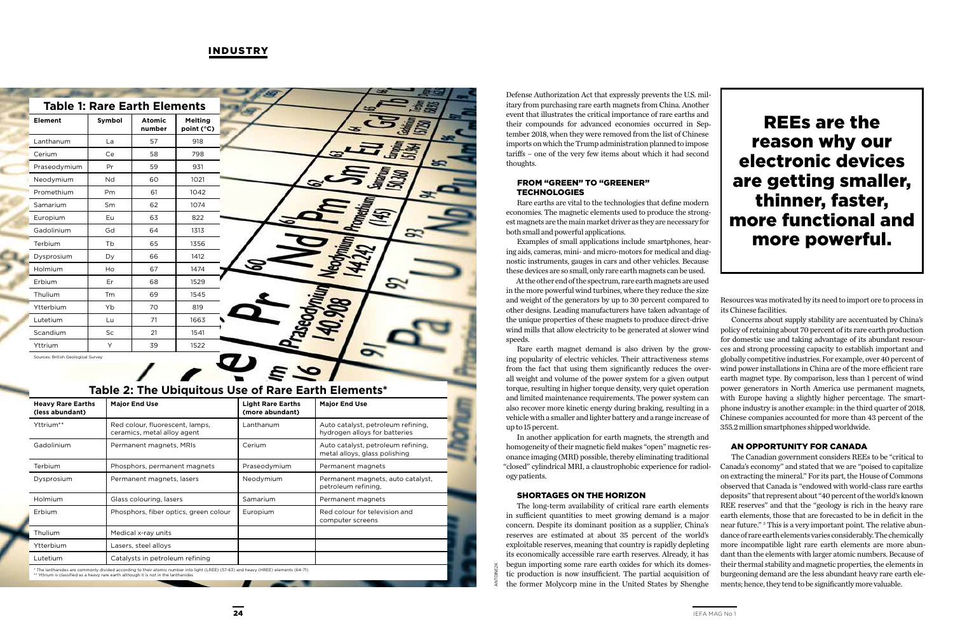### INDUSTRY

# REEs are the reason why our electronic devices are getting smaller, thinner, faster, more functional and more powerful.

#### FROM "GREEN" TO "GREENER" **TECHNOLOGIES**

Defense Authorization Act that expressly prevents the U.S. military from purchasing rare earth magnets from China. Another event that illustrates the critical importance of rare earths and their compounds for advanced economies occurred in September 2018, when they were removed from the list of Chinese imports on which the Trump administration planned to impose tariffs – one of the very few items about which it had second thoughts.

Rare earths are vital to the technologies that define modern economies. The magnetic elements used to produce the strongest magnets are the main market driver as they are necessary for both small and powerful applications.

Examples of small applications include smartphones, hearing aids, cameras, mini- and micro-motors for medical and diagnostic instruments, gauges in cars and other vehicles. Because these devices are so small, only rare earth magnets can be used.

At the other end of the spectrum, rare earth magnets are used in the more powerful wind turbines, where they reduce the size and weight of the generators by up to 30 percent compared to other designs. Leading manufacturers have taken advantage of the unique properties of these magnets to produce direct-drive wind mills that allow electricity to be generated at slower wind speeds.

Rare earth magnet demand is also driven by the growing popularity of electric vehicles. Their attractiveness stems from the fact that using them significantly reduces the overall weight and volume of the power system for a given output torque, resulting in higher torque density, very quiet operation and limited maintenance requirements. The power system can also recover more kinetic energy during braking, resulting in a vehicle with a smaller and lighter battery and a range increase of up to 15 percent.

In another application for earth magnets, the strength and homogeneity of their magnetic field makes "open" magnetic resonance imaging (MRI) possible, thereby eliminating traditional "closed" cylindrical MRI, a claustrophobic experience for radiology patients.

#### SHORTAGES ON THE HORIZON

The long-term availability of critical rare earth elements in sufficient quantities to meet growing demand is a major concern. Despite its dominant position as a supplier, China's reserves are estimated at about 35 percent of the world's exploitable reserves, meaning that country is rapidly depleting its economically accessible rare earth reserves. Already, it has begun importing some rare earth oxides for which its domestic production is now insufficient. The partial acquisition of the former Molycorp mine in the United States by Shenghe

Resources was motivated by its need to import ore to process in its Chinese facilities.

Concerns about supply stability are accentuated by China's policy of retaining about 70 percent of its rare earth production for domestic use and taking advantage of its abundant resources and strong processing capacity to establish important and globally competitive industries. For example, over 40 percent of wind power installations in China are of the more efficient rare earth magnet type. By comparison, less than 1 percent of wind power generators in North America use permanent magnets, with Europe having a slightly higher percentage. The smartphone industry is another example: in the third quarter of 2018, Chinese companies accounted for more than 43 percent of the 355.2 million smartphones shipped worldwide.

## AN OPPORTUNITY FOR CANADA

The Canadian government considers REEs to be "critical to Canada's economy" and stated that we are "poised to capitalize on extracting the mineral." For its part, the House of Commons observed that Canada is "endowed with world-class rare earths deposits" that represent about "40 percent of the world's known REE reserves" and that the "geology is rich in the heavy rare earth elements, those that are forecasted to be in deficit in the near future." 3 This is a very important point. The relative abundance of rare earth elements varies considerably. The chemically more incompatible light rare earth elements are more abundant than the elements with larger atomic numbers. Because of their thermal stability and magnetic properties, the elements in burgeoning demand are the less abundant heavy rare earth elements; hence, they tend to be significantly more valuable.

# **Table 2: The Ubiquitous Use of Rare Earth Elements\***

| <b>Heavy Rare Earths</b><br>(less abundant) | <b>Major End Use</b>                                                                                                                                                                                                        | <b>Light Rare Earths</b><br>(more abundant) | <b>Major End Use</b>                                                |
|---------------------------------------------|-----------------------------------------------------------------------------------------------------------------------------------------------------------------------------------------------------------------------------|---------------------------------------------|---------------------------------------------------------------------|
| Yttrium**                                   | Red colour, fluorescent, lamps,<br>ceramics, metal alloy agent                                                                                                                                                              | Lanthanum                                   | Auto catalyst, petroleum refining,<br>hydrogen alloys for batteries |
| Gadolinium                                  | Permanent magnets, MRIs                                                                                                                                                                                                     | Cerium                                      | Auto catalyst, petroleum refining,<br>metal alloys, glass polishing |
| Terbium                                     | Phosphors, permanent magnets                                                                                                                                                                                                | Praseodymium                                | Permanent magnets                                                   |
| Dysprosium                                  | Permanent magnets, lasers                                                                                                                                                                                                   | Neodymium                                   | Permanent magnets, auto catalyst,<br>petroleum refining.            |
| Holmium                                     | Glass colouring, lasers                                                                                                                                                                                                     | Samarium                                    | Permanent magnets                                                   |
| Erbium                                      | Phosphors, fiber optics, green colour                                                                                                                                                                                       | Europium                                    | Red colour for television and<br>computer screens                   |
| Thulium                                     | Medical x-ray units                                                                                                                                                                                                         |                                             |                                                                     |
| Ytterbium                                   | Lasers, steel alloys                                                                                                                                                                                                        |                                             |                                                                     |
| Lutetium                                    | Catalysts in petroleum refining                                                                                                                                                                                             |                                             |                                                                     |
|                                             | * The lanthanides are commonly divided according to their atomic number into light (LREE) (57-63) and heavy (HREE) elements (64-71)<br>** Yttrium is classified as a heavy rare earth although it is not in the lanthanides |                                             |                                                                     |

| <b>Table 1: Rare Earth Elements</b> |                                    |        |                         |                              |
|-------------------------------------|------------------------------------|--------|-------------------------|------------------------------|
|                                     | <b>Element</b>                     | Symbol | <b>Atomic</b><br>number | <b>Melting</b><br>point (°C) |
|                                     | Lanthanum                          | La     | 57                      | 918                          |
|                                     | Cerium                             | Ce     | 58                      | 798                          |
|                                     | Praseodymium                       | Pr     | 59                      | 931                          |
|                                     | Neodymium                          | Nd     | 60                      | 1021                         |
|                                     | Promethium                         | Pm     | 61                      | 1042                         |
|                                     | Samarium                           | Sm     | 62                      | 1074                         |
|                                     | Europium                           | Eu     | 63                      | 822                          |
|                                     | Gadolinium                         | Gd     | 64                      | 1313                         |
|                                     | Terbium                            | Tb     | 65                      | 1356                         |
|                                     | Dysprosium                         | Dy     | 66                      | 1412                         |
|                                     | Holmium                            | Ho     | 67                      | 1474                         |
|                                     | Erbium                             | Er     | 68                      | 1529                         |
|                                     | Thulium                            | Tm     | 69                      | 1545                         |
|                                     | Ytterbium                          | Yb     | 70                      | 819                          |
|                                     | Lutetium                           | Lu     | 71                      | 1663                         |
|                                     | Scandium                           | Sc     | 21                      | 1541                         |
|                                     | Yttrium                            | Y      | 39                      | 1522                         |
|                                     | Sources: British Geological Survey |        |                         |                              |

ANTOINE2K